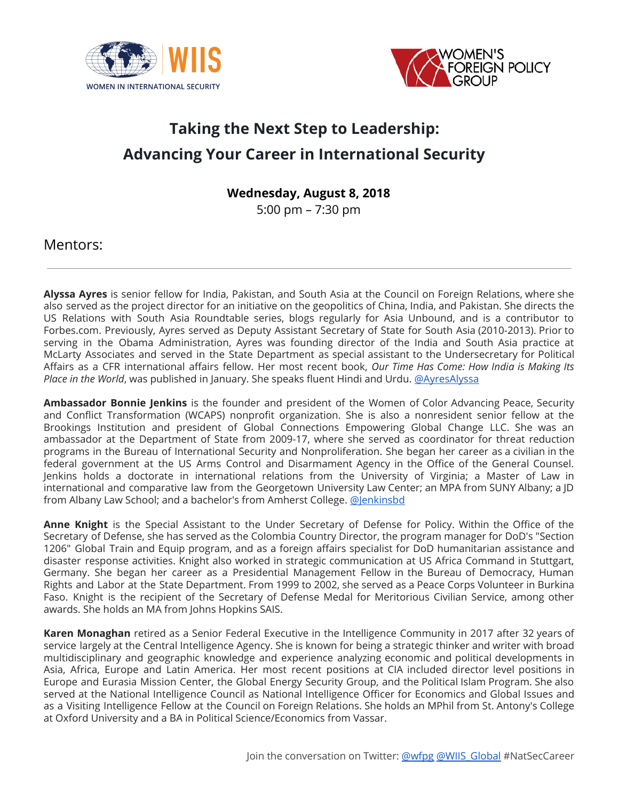



## **Taking the Next Step to Leadership: Advancing Your Career in International Security**

**Wednesday, August 8, 2018**

5:00 pm – 7:30 pm

Mentors:

**Alyssa Ayres** is senior fellow for India, Pakistan, and South Asia at the Council on Foreign Relations, where she also served as the project director for an initiative on the geopolitics of China, India, and Pakistan. She directs the US Relations with South Asia Roundtable series, blogs regularly for Asia Unbound, and is a contributor to Forbes.com. Previously, Ayres served as Deputy Assistant Secretary of State for South Asia (2010-2013). Prior to serving in the Obama Administration, Ayres was founding director of the India and South Asia practice at McLarty Associates and served in the State Department as special assistant to the Undersecretary for Political Affairs as a CFR international affairs fellow. Her most recent book, *Our Time Has Come: How India is Making Its Place in the World*, was published in January. She speaks fluent Hindi and Urdu. [@AyresAlyssa](https://twitter.com/AyresAlyssa)

**Ambassador Bonnie Jenkins** is the founder and president of the Women of Color Advancing Peace, Security and Conflict Transformation (WCAPS) nonprofit organization. She is also a nonresident senior fellow at the Brookings Institution and president of Global Connections Empowering Global Change LLC. She was an ambassador at the Department of State from 2009-17, where she served as coordinator for threat reduction programs in the Bureau of International Security and Nonproliferation. She began her career as a civilian in the federal government at the US Arms Control and Disarmament Agency in the Office of the General Counsel. Jenkins holds a doctorate in international relations from the University of Virginia; a Master of Law in international and comparative law from the Georgetown University Law Center; an MPA from SUNY Albany; a JD from Albany Law School; and a bachelor's from Amherst College. [@Jenkinsbd](https://twitter.com/jenkinsbd)

**Anne Knight** is the Special Assistant to the Under Secretary of Defense for Policy. Within the Office of the Secretary of Defense, she has served as the Colombia Country Director, the program manager for DoD's "Section 1206" Global Train and Equip program, and as a foreign affairs specialist for DoD humanitarian assistance and disaster response activities. Knight also worked in strategic communication at US Africa Command in Stuttgart, Germany. She began her career as a Presidential Management Fellow in the Bureau of Democracy, Human Rights and Labor at the State Department. From 1999 to 2002, she served as a Peace Corps Volunteer in Burkina Faso. Knight is the recipient of the Secretary of Defense Medal for Meritorious Civilian Service, among other awards. She holds an MA from Johns Hopkins SAIS.

**Karen Monaghan** retired as a Senior Federal Executive in the Intelligence Community in 2017 after 32 years of service largely at the Central Intelligence Agency. She is known for being a strategic thinker and writer with broad multidisciplinary and geographic knowledge and experience analyzing economic and political developments in Asia, Africa, Europe and Latin America. Her most recent positions at CIA included director level positions in Europe and Eurasia Mission Center, the Global Energy Security Group, and the Political Islam Program. She also served at the National Intelligence Council as National Intelligence Officer for Economics and Global Issues and as a Visiting Intelligence Fellow at the Council on Foreign Relations. She holds an MPhil from St. Antony's College at Oxford University and a BA in Political Science/Economics from Vassar.